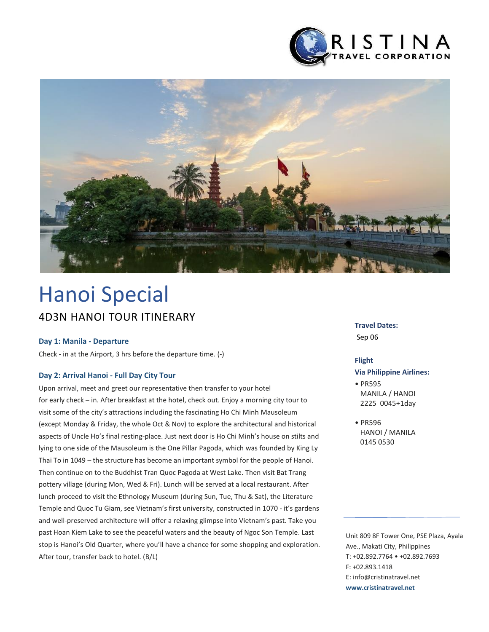



# 4D3N HANOI TOUR ITINERARY Hanoi Special

#### **Day 1: Manila - Departure**

Check - in at the Airport, 3 hrs before the departure time. (-)

#### **Day 2: Arrival Hanoi - Full Day City Tour**

Upon arrival, meet and greet our representative then transfer to your hotel for early check – in. After breakfast at the hotel, check out. Enjoy a morning city tour to visit some of the city's attractions including the fascinating Ho Chi Minh Mausoleum (except Monday & Friday, the whole Oct & Nov) to explore the architectural and historical aspects of Uncle Ho's final resting-place. Just next door is Ho Chi Minh's house on stilts and lying to one side of the Mausoleum is the One Pillar Pagoda, which was founded by King Ly Thai To in 1049 – the structure has become an important symbol for the people of Hanoi. Then continue on to the Buddhist Tran Quoc Pagoda at West Lake. Then visit Bat Trang pottery village (during Mon, Wed & Fri). Lunch will be served at a local restaurant. After lunch proceed to visit the Ethnology Museum (during Sun, Tue, Thu & Sat), the Literature Temple and Quoc Tu Giam, see Vietnam's first university, constructed in 1070 - it's gardens and well-preserved architecture will offer a relaxing glimpse into Vietnam's past. Take you past Hoan Kiem Lake to see the peaceful waters and the beauty of Ngoc Son Temple. Last stop is Hanoi's Old Quarter, where you'll have a chance for some shopping and exploration. After tour, transfer back to hotel. (B/L)

#### **Travel Dates:**

Sep 06

#### **Flight**

#### **Via Philippine Airlines:**

- PR595 MANILA / HANOI 2225 0045+1day
- PR596 HANOI / MANILA 0145 0530

Unit 809 8F Tower One, PSE Plaza, Ayala Ave., Makati City, Philippines T: +02.892.7764 • +02.892.7693 F: +02.893.1418 E: info@cristinatravel.net **www.cristinatravel.net**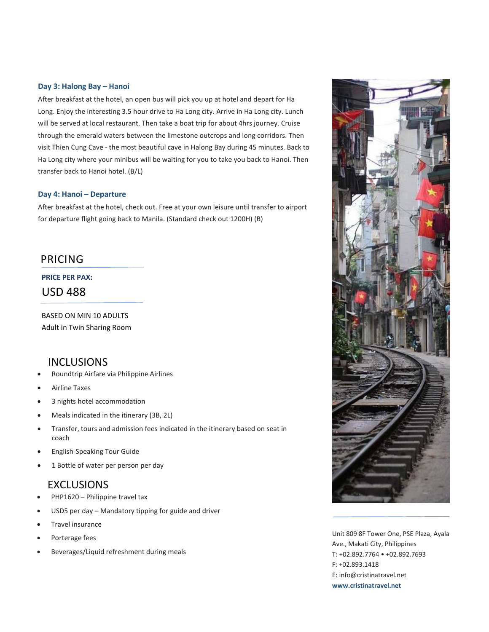#### **Day 3: Halong Bay – Hanoi**

After breakfast at the hotel, an open bus will pick you up at hotel and depart for Ha Long. Enjoy the interesting 3.5 hour drive to Ha Long city. Arrive in Ha Long city. Lunch will be served at local restaurant. Then take a boat trip for about 4hrs journey. Cruise through the emerald waters between the limestone outcrops and long corridors. Then visit Thien Cung Cave - the most beautiful cave in Halong Bay during 45 minutes. Back to Ha Long city where your minibus will be waiting for you to take you back to Hanoi. Then transfer back to Hanoi hotel. (B/L)

#### **Day 4: Hanoi – Departure**

After breakfast at the hotel, check out. Free at your own leisure until transfer to airport for departure flight going back to Manila. (Standard check out 1200H) (B)

## PRICING

#### **PRICE PER PAX:**

USD 488

BASED ON MIN 10 ADULTS Adult in Twin Sharing Room

### INCLUSIONS

- Roundtrip Airfare via Philippine Airlines
- Airline Taxes
- 3 nights hotel accommodation
- Meals indicated in the itinerary (3B, 2L)
- Transfer, tours and admission fees indicated in the itinerary based on seat in coach
- English-Speaking Tour Guide
- 1 Bottle of water per person per day

## EXCLUSIONS

- PHP1620 Philippine travel tax
- USD5 per day Mandatory tipping for guide and driver
- Travel insurance
- Porterage fees
- Beverages/Liquid refreshment during meals



Unit 809 8F Tower One, PSE Plaza, Ayala Ave., Makati City, Philippines T: +02.892.7764 • +02.892.7693 F: +02.893.1418 E: info@cristinatravel.net **www.cristinatravel.net**